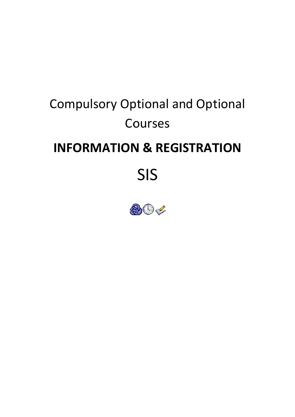# **Compulsory Optional and Optional** Courses **INFORMATION & REGISTRATION** SIS

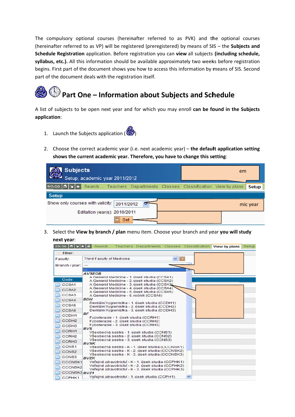The compulsory optional courses (hereinafter referred to as PVK) and the optional courses (hereinafter referred to as VP) will be registered (preregistered) by means of SIS - the Subjects and Schedule Registration application. Before registration you can view all subjects (including schedule, syllabus, etc.). All this information should be available approximately two weeks before registration begins. First part of the document shows you how to access this information by means of SIS. Second part of the document deals with the registration itself.

## Part One - Information about Subjects and Schedule

A list of subjects to be open next year and for which you may enroll can be found in the Subjects application:

- 1. Launch the Subjects application  $\circ$
- 2. Choose the correct academic year (i.e. next academic year) the default application setting shows the current academic year. Therefore, you have to change this setting:

| <b>Subjects</b><br>Setup, academic year 2011/2012                             | em       |
|-------------------------------------------------------------------------------|----------|
| 60:00 G Y X Search  Teachers Departments Classes Classification View by plans | Setup    |
| <b>Setup</b>                                                                  |          |
| Show only courses with validity: 2011/2012                                    | mic year |
| Editation year(s): 2010/2011                                                  |          |
| <b>Set</b>                                                                    |          |

3. Select the View by branch / plan menu item. Choose your branch and year you will study next year:

| 59:56 台 ¥ ★ 晶     | Search  Teachers Departments Classes Classification                                                |              | <b>View by plans</b> | <b>Setup</b> |
|-------------------|----------------------------------------------------------------------------------------------------|--------------|----------------------|--------------|
| Filter:           |                                                                                                    |              |                      |              |
| Faculty:          | <b>Third Faculty of Medicine</b><br>$\vee$ 10                                                      |              |                      |              |
| Branch / plan:    | ---                                                                                                |              |                      |              |
|                   |                                                                                                    |              |                      |              |
|                   | <b>AVSEOB</b>                                                                                      |              |                      |              |
| Code              | A General Medicine - 1. úsek studia (CCSA1)<br>A General Medicine - 2. úsek studia (CCSA2)         |              |                      |              |
| CCSA1             | A General Medicine - 3. úsek studia (CCSA3)                                                        |              |                      |              |
| CCSA <sub>2</sub> | A General Medicine - 4. úsek studia (CCSA4)                                                        |              |                      |              |
|                   | A General Medicine - 5. úsek studia (CCSA5)                                                        |              |                      |              |
| CCSA3             | A General Medicine - 6. ročník (CCSA6)                                                             |              |                      |              |
| CCSA4             | <b>BDH</b><br>Dentální hygienistka - 1. úsek studia (CCDH1)                                        |              |                      |              |
| CCSA5             | Dentální hygienistka - 2. úsek studia (CCDH2)                                                      |              |                      |              |
| CCSA6             | Dentální hygienistka - 3. úsek studia (CCDH3)                                                      |              |                      |              |
| CCDH <sub>1</sub> | <b>BF</b>                                                                                          |              |                      |              |
| CCDH <sub>2</sub> | Fyzioterapie - 1. úsek studia (CCRH1)<br>Fyzioterapie - 2. úsek studia (CCRH2)                     |              |                      |              |
| CCDH <sub>3</sub> | Fyzioterapie - 3. úsek studia (CCRH3)                                                              |              |                      |              |
| CCRH1             | <b>BVS</b>                                                                                         |              |                      |              |
| CCRH <sub>2</sub> | Všeobecná sestra - 1. úsek studia (CCNS1)<br>Všeobecná sestra - 2. úsek studia (CCNS2)             |              |                      |              |
|                   | Všeobecná sestra - 3. úsek studia (CCNS3)                                                          |              |                      |              |
| CCRH <sub>3</sub> | <b>BVSK</b>                                                                                        |              |                      |              |
| CCNS1             | Všeobecná sestra - K - 1. úsek studia (CCCNSK1)                                                    |              |                      |              |
| CCNS <sub>2</sub> | Všeobecná sestra - K - 2. úsek studia (CCCNSK2)<br>Všeobecná sestra - K - 3. úsek studia (CCCNSK3) |              |                      |              |
| CCNS3             | <b>BVZK</b>                                                                                        |              |                      |              |
| <b>CCCNSK1</b>    | Veřejné zdravotnictví - K - 1. úsek studia (CCPHK1)                                                |              |                      |              |
| <b>CCCNSK2</b>    | Veřejné zdravotnictví - K - 2. úsek studia (CCPHK2)                                                |              |                      |              |
| CCCNSK3 BVZ1      | Veřejné zdravotníctví - K - 3. úsek studia (CCPHK3)                                                |              |                      |              |
| CCPHK1            | Veřejné zdravotnictví - 1. úsek studia (CCPH1)                                                     | $\checkmark$ |                      |              |
|                   |                                                                                                    |              |                      |              |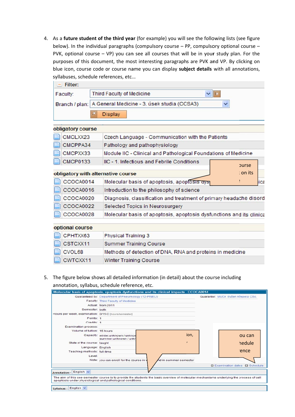4. As a future student of the third year (for example) you will see the following lists (see figure s syllabuses, s chedule refe erences, etc… below). In the individual paragraphs (compulsory course - PP, compulsory optional course -PVK, optional course - VP) you can see all courses that will be in your study plan. For the purposes of this document, the most interesting paragraphs are PVK and VP. By clicking on blue icon, course code or course name you can display subject details with all annotations,

|                   | syllabuses, schedule references, etc                                 |
|-------------------|----------------------------------------------------------------------|
| $-$ Filter:       |                                                                      |
| Faculty:          | $\vee$ ID<br><b>Third Faculty of Medicine</b>                        |
|                   | Branch / plan: A General Medicine - 3. úsek studia (CCSA3)<br>×      |
|                   | <b>Display</b>                                                       |
|                   |                                                                      |
| obligatory course |                                                                      |
| CMCLXX23          | Czech Language - Communication with the Patients                     |
| CMCPPA34          | Pathology and pathophysiology                                        |
| CMCPXX33          | Module IIC - Clinical and Pathological Foundations of Medicine       |
| <b>CMCP0133</b>   | IIC - 1. Infectious and Febrile Conditions<br><b>purse</b>           |
|                   | on its<br>obligatory with alternative course                         |
| CCOCA0014         | Molecular basis of apoptosis, apoptosis uysi<br>ica                  |
| CCOCA0016         | Introduction to the philosophy of science                            |
| CCOCA0020         | Diagnosis, classification and treatment of primary headache disord   |
| CCOCA0022         | Selected Topics in Neurosurgery                                      |
| CCOCA0028         | Molecular basis of apoptosis, apoptosis dysfunctions and its clinica |
| optional course   |                                                                      |
| CPHTXX63          | <b>Physical Training 3</b>                                           |
| CSTCXX11          | <b>Summer Training Course</b>                                        |
| CVOL68            | Methods of detection of DNA, RNA and proteins in medicine            |
| CWTCXX11          | <b>Winter Training Course</b>                                        |

| optional course |                                                           |
|-----------------|-----------------------------------------------------------|
| CPHTXX63        | <b>Physical Training 3</b>                                |
| $\Box$ CSTCXX11 | <b>Summer Training Course</b>                             |
| CVOL68          | Methods of detection of DNA, RNA and proteins in medicine |
| CWTCXX11        | <b>Winter Training Course</b>                             |

| CCOCA0014                                                                    | Molecular basis of apoptosis, apoptosis uysi<br>ica                                                                                                                                                                                   |
|------------------------------------------------------------------------------|---------------------------------------------------------------------------------------------------------------------------------------------------------------------------------------------------------------------------------------|
| CCOCA0016                                                                    | Introduction to the philosophy of science                                                                                                                                                                                             |
| CCOCA0020                                                                    | Diagnosis, classification and treatment of primary headache disord                                                                                                                                                                    |
| CCOCA0022                                                                    | Selected Topics in Neurosurgery                                                                                                                                                                                                       |
| CCOCA0028                                                                    | Molecular basis of apoptosis, apoptosis dysfunctions and its clinica                                                                                                                                                                  |
| optional course                                                              |                                                                                                                                                                                                                                       |
| CPHTXX63                                                                     | <b>Physical Training 3</b>                                                                                                                                                                                                            |
| CSTCXX11                                                                     | <b>Summer Training Course</b>                                                                                                                                                                                                         |
| CVOL68                                                                       | Methods of detection of DNA, RNA and proteins in medicine                                                                                                                                                                             |
| CWTCXX11                                                                     | <b>Winter Training Course</b>                                                                                                                                                                                                         |
|                                                                              | The figure below shows all detailed information (in detail) about the course including<br>annotation, syllabus, schedule reference, etc.<br>Molecular basis of apoptosis, apoptosis dysfunctions and its clinical impacts - CCOCA0014 |
|                                                                              | Guaranteed by: Department of Pneumology (12-PNEU)<br>Guarantor: MUDr. Evžen Křepela CSc.<br>Faculty: Third Faculty of Medicine                                                                                                        |
|                                                                              | Actual: from 2011                                                                                                                                                                                                                     |
| Semester: both                                                               |                                                                                                                                                                                                                                       |
|                                                                              |                                                                                                                                                                                                                                       |
| Points: 1                                                                    |                                                                                                                                                                                                                                       |
| Credits: 1                                                                   |                                                                                                                                                                                                                                       |
| Hours per week, examination: 0/15 C [hours/semester]<br>Examination process: |                                                                                                                                                                                                                                       |
| Volume of tuition: 15 hours                                                  | ion,<br>ou can<br>Capacity: winter:unknown / unknoy                                                                                                                                                                                   |
| State of the course: taught                                                  | summer:unknown / unkr                                                                                                                                                                                                                 |
| Language: English                                                            | hedule                                                                                                                                                                                                                                |
| Teaching methods: full-time                                                  | ence                                                                                                                                                                                                                                  |
| Level:                                                                       |                                                                                                                                                                                                                                       |
|                                                                              | Note: you can enroll for the course in<br>id in summer semester                                                                                                                                                                       |
|                                                                              | □ Examination dates □ Schedule                                                                                                                                                                                                        |
| English $\vee$<br>Annotation                                                 |                                                                                                                                                                                                                                       |
| apoptosis under physiological and pathological conditions.                   | The aim of this one-semester course is to provide the students the basic overview of molecular mechanisms underlying the process of cell                                                                                              |
| English $\vee$<br><b>Syllabus</b>                                            |                                                                                                                                                                                                                                       |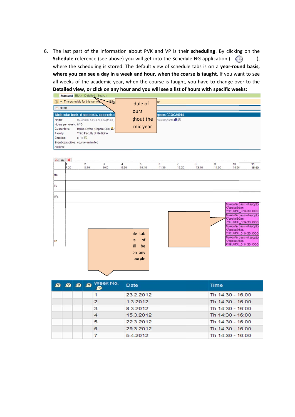6. The last part of the information about PVK and VP is their scheduling. By clicking on the Schedule reference (see above) you will get into the Schedule NG application ( where the scheduling is stored. The default view of schedule tabs is on a year-round basis, where you can see a day in a week and hour, when the course is taught. If you want to see all weeks of the academic year, when the course is taught, you have to change over to the Detailed view, or click on any hour and you will see a list of hours with specific weeks: ),

|                                                           |                                 | Standard Block Detailed Search                                                                                                                                             |                                                       |                        |                                                      |                                                                |                         |            |            |                                                                                                                                                                                                                                                                                     |             |
|-----------------------------------------------------------|---------------------------------|----------------------------------------------------------------------------------------------------------------------------------------------------------------------------|-------------------------------------------------------|------------------------|------------------------------------------------------|----------------------------------------------------------------|-------------------------|------------|------------|-------------------------------------------------------------------------------------------------------------------------------------------------------------------------------------------------------------------------------------------------------------------------------------|-------------|
| Name:<br>Guarantors:<br>Faculty:<br>Enrolled:<br>Actions: | Filter:<br>Hours per week: 0/15 | • The schedule for this semes<br>Molecular basis of apoptosis,<br>MUDr. Evžen Křepela CSc.<br>Third Faculty of Medicine<br>$0 + 0.2$<br>Event capacities: course unlimited | etill ha<br>Molecular basis of apoptosis, apoptosis d |                        | dule of<br>ours<br>;hout the<br>mic year             | ee.<br><b>Ipacts CCOCA0014</b><br>nical impacts @ <sup>o</sup> |                         |            |            |                                                                                                                                                                                                                                                                                     |             |
| Mo<br>Tu                                                  | $cov \times$<br>7:20            | $\overline{2}$<br>8:10                                                                                                                                                     | 3<br>9:00                                             | $\overline{4}$<br>9:50 | $\overline{5}$<br>10:40                              | $6\overline{6}$<br>11:30                                       | $\overline{7}$<br>12:20 | 8<br>13:10 | 9<br>14:00 | 10<br>14:50                                                                                                                                                                                                                                                                         | 11<br>15:40 |
| We<br>Th                                                  |                                 |                                                                                                                                                                            |                                                       |                        | ile tab<br>of<br>'S<br>ill<br>be<br>on any<br>purple |                                                                |                         |            |            | Molecular basis of apopto.<br>Křepela Evžen<br>PNEUMOL_0 14:30 CCO<br>Molecular basis of apopto<br>Křepela Evžen<br>PNEUMOL_0 14:30 CCO<br>Molecular basis of apopto.<br>Křepela Evžen<br>PNEUMOL_0 14:30 CCO<br>Molecular basis of apopto.<br>Křepela Evžen<br>PNEUMOL_0 14:30 CCO |             |

|  | 9999 | Week No.       | Date      | <b>Time</b>      |
|--|------|----------------|-----------|------------------|
|  |      |                | 23.2.2012 | Th 14:30 - 16:00 |
|  |      | $\overline{2}$ | 1.3.2012  | Th 14:30 - 16:00 |
|  |      | 3              | 8.3.2012  | Th 14:30 - 16:00 |
|  |      |                | 15.3.2012 | Th 14:30 - 16:00 |
|  |      | 5              | 22.3.2012 | Th 14:30 - 16:00 |
|  |      | 6              | 29.3.2012 | Th 14:30 - 16:00 |
|  |      |                | 5.4.2012  | Th 14:30 - 16:00 |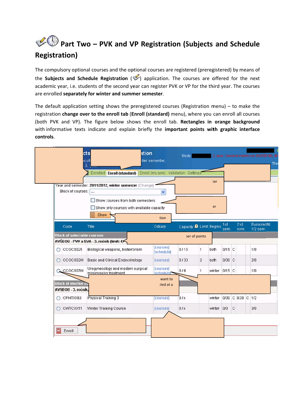### Part Two - PVK and VP Registration (Subjects and Schedule **Registration)**

The compulsory optional courses and the optional courses are registered (preregistered) by means of the Subjects and Schedule Registration ( $\blacklozenge$ ) application. The courses are offered for the next academic year, i.e. students of the second year can register PVK or VP for the third year. The courses are enrolled separately for winter and summer semester.

The default application setting shows the preregistered courses (Registration menu)  $-$  to make the registration change over to the enroll tab (Enroll (standard) menu), where you can enroll all courses (both PVK and VP). The figure below shows the enroll tab. Rectangles in orange background with informative texts indicate and explain briefly the important points with graphic interface controls.

|         | cts<br>icult<br>3.                                 |                                                             | ation<br>iter semester,               | Study:                         |                |               |                   |             |             | - 2. year, General medicine (AVSEOB), M |
|---------|----------------------------------------------------|-------------------------------------------------------------|---------------------------------------|--------------------------------|----------------|---------------|-------------------|-------------|-------------|-----------------------------------------|
|         |                                                    | Enrolled Enroll (standard)                                  | Enroll (my own) Validation Settings   |                                |                |               |                   |             |             |                                         |
|         |                                                    | Year and semester: 2011/2012, winter semester [Change]      |                                       |                                |                | ter           |                   |             |             |                                         |
|         | Block of courses:                                  | $\sim$                                                      |                                       |                                |                |               |                   |             |             |                                         |
|         |                                                    | Show courses from both semesters                            |                                       |                                |                |               |                   |             |             |                                         |
|         |                                                    | Show only courses with available capacity                   |                                       |                                |                | er            |                   |             |             |                                         |
|         |                                                    | Show                                                        | tion                                  |                                |                |               |                   |             |             |                                         |
|         | Code                                               | Title                                                       | Odkazy                                | Capacity <b>Ø</b> Limit Begins |                |               | 1st<br>sem.       |             | 2nd<br>sem. | <b>Eurocredits</b><br>1/2 sem.          |
|         | <b>Block of selectable courses</b>                 | AVŠEOB - PVK a SVA - 3. ročník (limit: 4)                   |                                       |                                | per of points  |               |                   |             |             |                                         |
| $\circ$ | CCOC0025                                           | Biological weapons, bioterrorism                            | <i><b>[courses]</b></i><br>[schedule] | 0/15                           | 1              | both          | 0/15 C            |             |             | 1/0                                     |
| O       | CCOC002W                                           | <b>Basic and Clinical Endocrinology</b>                     | [courses]                             | 0/30                           | $\overline{2}$ | both          | 0/30 C            |             |             | 2/0                                     |
|         | CCOC007W                                           | Urogynecology and modern surgical<br>miniinvasive treatment | [courses]<br>[schedule] ~             | 0/6                            | 1              | winter 0/15 C |                   |             |             | 1/0                                     |
|         | <b>Block of elective co</b><br>AVSEOB - 3. ročník, |                                                             | want to<br>ted at a                   |                                |                |               |                   |             |             |                                         |
| O       | CPHTXX63                                           | Physical Training 3                                         | [courses]                             | 0/ x                           |                | winter        | 0/30 C 0/30 C 1/2 |             |             |                                         |
| $\circ$ | CWTCXX11                                           | Winter Training Course                                      | [courses]                             | 0/ x                           |                | winter        | 0/0               | $\mathbf C$ |             | 3/0                                     |
|         | Enroll                                             |                                                             |                                       |                                |                |               |                   |             |             |                                         |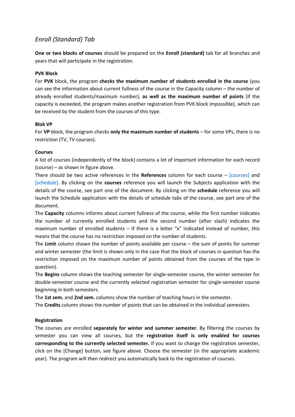#### *Enroll (Standard) Tab*

**One or two blocks of courses** should be prepared on the **Enroll (standard)** tab for all branches and years that will participate in the registration.

#### **PVK Block**

For **PVK** block, the program **checks the maximum number of students enrolled in the course** (you can see the information about current fullness of the course in the Capacity column – the number of already enrolled students/maximum number), **as well as the maximum number of points** (if the capacity is exceeded, the program makes another registration from PVK block impossible), which can be received by the student from the courses of this type.

#### **Blok VP**

For **VP** block, the program checks **only the maximum number of students** – for some VPs, there is no restriction (TV, TV courses).

#### **Courses**

A list of courses (independently of the block) contains a lot of important information for each record (course) – as shown in figure above.

There should be two active references in the **References** column for each course – [courses] and [schedule]. By clicking on the **courses** reference you will launch the Subjects application with the details of the course, see part one of the document. By clicking on the **schedule** reference you will launch the Schedule application with the details of schedule tabs of the course, see part one of the document.

The **Capacity** columns informs about current fullness of the course, while the first number indicates the number of currently enrolled students and the second number (after slash) indicates the maximum number of enrolled students – if there is a letter "x" indicated instead of number, this means that the course has no restriction imposed on the number of students.

The **Limit** column shown the number of points available per course – the sum of points for summer and winter semester (the limit is shown only in the case that the block of courses in question has the restriction imposed on the maximum number of points obtained from the courses of the type in question).

The **Begins** column shows the teaching semester for single‐semester course, the winter semester for double‐semester course and the currently selected registration semester for single‐semester course beginning in both semesters.

The **1st sem.** and **2nd sem.** columns show the number of teaching hours in the semester.

The **Credits** column shows the number of points that can be obtained in the individual semesters.

#### **Registration**

The courses are enrolled **separately for winter and summer semester**. By filtering the courses by semester you can view all courses, but the **registration itself is only enabled for courses corresponding to the currently selected semester.** If you want to change the registration semester, click on the [Change] button, see figure above. Choose the semester (in the appropriate academic year). The program will then redirect you automatically back to the registration of courses.